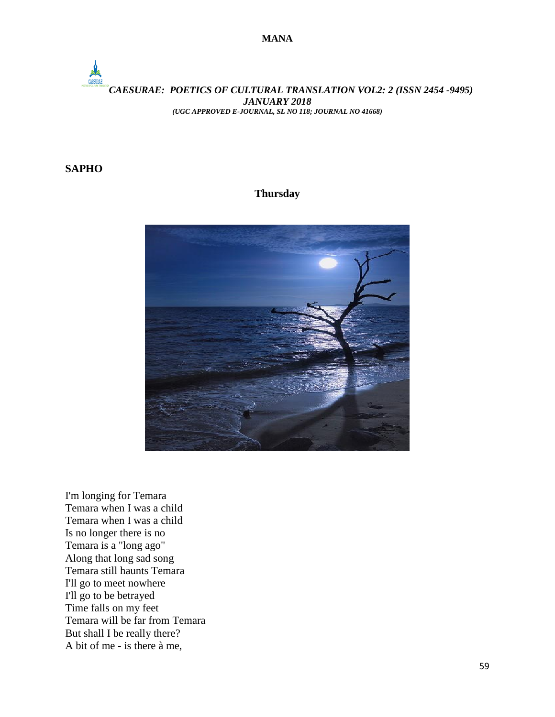## *CAESURAE: POETICS OF CULTURAL TRANSLATION VOL2: 2 (ISSN 2454 -9495) JANUARY 2018 (UGC APPROVED E-JOURNAL, SL NO 118; JOURNAL NO 41668)*

## **SAPHO**

## **Thursday**



I'm longing for Temara Temara when I was a child Temara when I was a child Is no longer there is no Temara is a "long ago" Along that long sad song Temara still haunts Temara I'll go to meet nowhere I'll go to be betrayed Time falls on my feet Temara will be far from Temara But shall I be really there? A bit of me - is there à me,